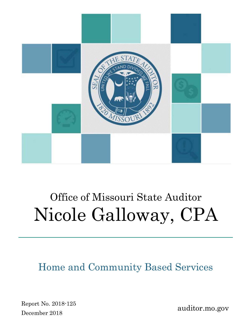

# Office of Missouri State Auditor Nicole Galloway, CPA

Home and Community Based Services

Report No. 2018-125 December 2018

auditor.mo.gov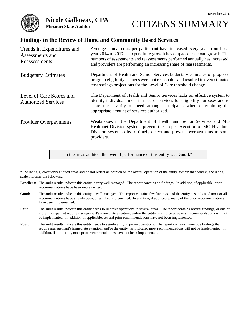

#### **Findings in the Review of Home and Community Based Services**

| Trends in Expenditures and<br>Assessments and<br>Reassessments | Average annual costs per participant have increased every year from fiscal<br>year 2014 to 2017 as expenditure growth has outpaced caseload growth. The<br>numbers of assessments and reassessments performed annually has increased,<br>and providers are performing an increasing share of reassessments. |
|----------------------------------------------------------------|-------------------------------------------------------------------------------------------------------------------------------------------------------------------------------------------------------------------------------------------------------------------------------------------------------------|
| <b>Budgetary Estimates</b>                                     | Department of Health and Senior Services budgetary estimates of proposed<br>program eligibility changes were not reasonable and resulted in overestimated<br>cost savings projections for the Level of Care threshold change.                                                                               |
| Level of Care Scores and<br><b>Authorized Services</b>         | The Department of Health and Senior Services lacks an effective system to<br>identify individuals most in need of services for eligibility purposes and to<br>score the severity of need among participants when determining the<br>appropriate amount of services authorized.                              |
| <b>Provider Overpayments</b>                                   | Weaknesses in the Department of Health and Senior Services and MO<br>Healthnet Division systems prevent the proper execution of MO Healthnet<br>Division system edits to timely detect and prevent overpayments to some<br>providers.                                                                       |

In the areas audited, the overall performance of this entity was **Good**.\*

**\***The rating(s) cover only audited areas and do not reflect an opinion on the overall operation of the entity. Within that context, the rating scale indicates the following:

- **Excellent:** The audit results indicate this entity is very well managed. The report contains no findings. In addition, if applicable, prior recommendations have been implemented.
- **Good:** The audit results indicate this entity is well managed. The report contains few findings, and the entity has indicated most or all recommendations have already been, or will be, implemented. In addition, if applicable, many of the prior recommendations have been implemented.
- Fair: The audit results indicate this entity needs to improve operations in several areas. The report contains several findings, or one or more findings that require management's immediate attention, and/or the entity has indicated several recommendations will not be implemented. In addition, if applicable, several prior recommendations have not been implemented.
- **Poor:** The audit results indicate this entity needs to significantly improve operations. The report contains numerous findings that require management's immediate attention, and/or the entity has indicated most recommendations will not be implemented. In addition, if applicable, most prior recommendations have not been implemented.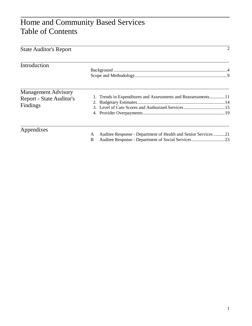# Home and Community Based Services Table of Contents

| <b>State Auditor's Report</b>                                             |                                                                         |
|---------------------------------------------------------------------------|-------------------------------------------------------------------------|
| Introduction                                                              |                                                                         |
| <b>Management Advisory</b><br><b>Report - State Auditor's</b><br>Findings | 1. Trends in Expenditures and Assessments and Reassessments 11          |
| Appendixes                                                                | Auditee Response - Department of Health and Senior Services21<br>A<br>B |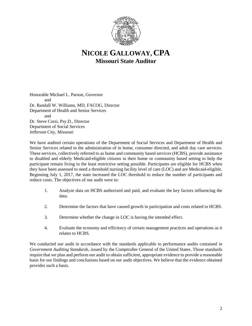

## **NICOLE GALLOWAY, CPA Missouri State Auditor**

Honorable Michael L. Parson, Governor and Dr. Randall W. Williams, MD, FACOG, Director Department of Health and Senior Services and Dr. Steve Corsi, Psy.D., Director Department of Social Services Jefferson City, Missouri

We have audited certain operations of the Department of Social Services and Department of Health and Senior Services related to the administration of in home, consumer directed, and adult day care services. These services, collectively referred to as home and community based services (HCBS), provide assistance to disabled and elderly Medicaid-eligible citizens in their home or community based setting to help the participant remain living in the least restrictive setting possible. Participants are eligible for HCBS when they have been assessed to need a threshold nursing facility level of care (LOC) and are Medicaid-eligible. Beginning July 1, 2017, the state increased the LOC threshold to reduce the number of participants and reduce costs. The objectives of our audit were to:

- 1. Analyze data on HCBS authorized and paid, and evaluate the key factors influencing the data.
- 2. Determine the factors that have caused growth in participation and costs related to HCBS.
- 3. Determine whether the change in LOC is having the intended effect.
- 4. Evaluate the economy and efficiency of certain management practices and operations as it relates to HCBS.

We conducted our audit in accordance with the standards applicable to performance audits contained in *Government Auditing Standards*, issued by the Comptroller General of the United States. Those standards require that we plan and perform our audit to obtain sufficient, appropriate evidence to provide a reasonable basis for our findings and conclusions based on our audit objectives. We believe that the evidence obtained provides such a basis.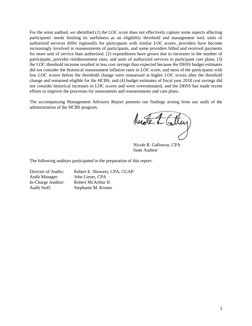For the areas audited, we identified (1) the LOC score does not effectively capture some aspects affecting participants' needs limiting its usefulness as an eligibility threshold and management tool, units of authorized services differ regionally for participants with similar LOC scores, providers have become increasingly involved in reassessments of participants, and some providers billed and received payments for more unit of service than authorized, (2) expenditures have grown due to increases in the number of participants, provider reimbursement rates, and units of authorized services in participant care plans, (3) the LOC threshold increase resulted in less cost savings than expected because the DHSS budget estimates did not consider the historical reassessment inflation rates in LOC score, and most of the participants with low LOC scores before the threshold change were reassessed at higher LOC scores after the threshold change and remained eligible for the HCBS, and (4) budget estimates of fiscal year 2018 cost savings did not consider historical increases in LOC scores and were overestimated, and the DHSS has made recent efforts to improve the processes for assessments and reassessments and care plans.

The accompanying Management Advisory Report presents our findings arising from our audit of the administration of the HCBS program.

Nuste L. Calley

Nicole R. Galloway, CPA State Auditor

The following auditors participated in the preparation of this report:

Audit Manager: John Lieser, CPA

Director of Audits: Robert E. Showers, CPA, CGAP In-Charge Auditor: Robert McArthur II Audit Staff: Stephanie M. Kroner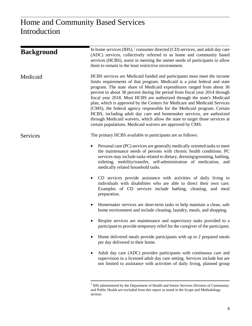| <b>Background</b> | In home services $(IHS)$ , $\frac{1}{2}$ consumer directed $(CD)$ services, and adult day care<br>(ADC) services, collectively referred to as home and community based<br>services (HCBS), assist in meeting the unmet needs of participants to allow<br>them to remain in the least restrictive environment.                                                                                                                                                                                                                                                                                                                                                                                                                                                           |
|-------------------|-------------------------------------------------------------------------------------------------------------------------------------------------------------------------------------------------------------------------------------------------------------------------------------------------------------------------------------------------------------------------------------------------------------------------------------------------------------------------------------------------------------------------------------------------------------------------------------------------------------------------------------------------------------------------------------------------------------------------------------------------------------------------|
| Medicaid          | HCBS services are Medicaid funded and participants must meet the income<br>limits requirements of that program. Medicaid is a joint federal and state<br>program. The state share of Medicaid expenditures ranged from about 36<br>percent to about 38 percent during the period from fiscal year 2014 through<br>fiscal year 2018. Most HCBS are authorized through the state's Medicaid<br>plan, which is approved by the Centers for Medicare and Medicaid Services<br>(CMS), the federal agency responsible for the Medicaid program. Certain<br>HCBS, including adult day care and homemaker services, are authorized<br>through Medicaid waivers, which allow the state to target those services at<br>certain populations. Medicaid waivers are approved by CMS. |
| <b>Services</b>   | The primary HCBS available to participants are as follows:                                                                                                                                                                                                                                                                                                                                                                                                                                                                                                                                                                                                                                                                                                              |
|                   | Personal care (PC) services are generally medically oriented tasks to meet<br>$\bullet$<br>the maintenance needs of persons with chronic health conditions. PC<br>services may include tasks related to dietary, dressing/grooming, bathing,<br>toileting, mobility/transfer, self-administration of medication, and<br>medically related household tasks.                                                                                                                                                                                                                                                                                                                                                                                                              |
|                   | CD services provide assistance with activities of daily living to<br>$\bullet$<br>individuals with disabilities who are able to direct their own care.<br>Examples of CD services include bathing, cleaning, and meal<br>preparation.                                                                                                                                                                                                                                                                                                                                                                                                                                                                                                                                   |
|                   | Homemaker services are short-term tasks to help maintain a clean, safe<br>$\bullet$<br>home environment and include cleaning, laundry, meals, and shopping.                                                                                                                                                                                                                                                                                                                                                                                                                                                                                                                                                                                                             |
|                   | Respite services are maintenance and supervisory tasks provided to a<br>participant to provide temporary relief for the caregiver of the participant.                                                                                                                                                                                                                                                                                                                                                                                                                                                                                                                                                                                                                   |
|                   | Home delivered meals provide participants with up to 2 prepared meals<br>per day delivered to their home.                                                                                                                                                                                                                                                                                                                                                                                                                                                                                                                                                                                                                                                               |
|                   | Adult day care (ADC) provides participants with continuous care and<br>supervision in a licensed adult day care setting. Services include but are<br>not limited to assistance with activities of daily living, planned group                                                                                                                                                                                                                                                                                                                                                                                                                                                                                                                                           |
|                   |                                                                                                                                                                                                                                                                                                                                                                                                                                                                                                                                                                                                                                                                                                                                                                         |

<span id="page-5-0"></span><sup>&</sup>lt;sup>1</sup> IHS administered by the Department of Health and Senior Services Division of Community and Public Health are excluded from this report as noted in the Scope and Methodology section.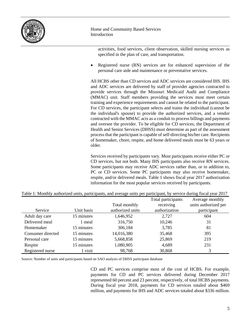

> activities, food services, client observation, skilled nursing services as specified in the plan of care, and transportation.

• Registered nurse (RN) services are for enhanced supervision of the personal care aide and maintenance or preventative services.

All HCBS other than CD services and ADC services are considered IHS. IHS and ADC services are delivered by staff of provider agencies contracted to provide services through the Missouri Medicaid Audit and Compliance (MMAC) unit. Staff members providing the services must meet certain training and experience requirements and cannot be related to the participant. For CD services, the participant selects and trains the individual (cannot be the individual's spouse) to provide the authorized services, and a vendor contracted with the MMAC acts as a conduit to process billings and payments and oversee the provider. To be eligible for CD services, the Department of Health and Senior Services (DHSS) must determine as part of the assessment process that the participant is capable of self-directing his/her care. Recipients of homemaker, chore, respite, and home delivered meals must be 63 years or older.

Services received by participants vary. Most participants receive either PC or CD services, but not both. Many IHS participants also receive RN services. Some participants may receive ADC services rather than, or in addition to, PC or CD services. Some PC participants may also receive homemaker, respite, and/or delivered meals. Table 1 shows fiscal year 2017 authorization information for the most popular services received by participants.

|                   |            |                  | Total participants | Average monthly      |
|-------------------|------------|------------------|--------------------|----------------------|
|                   |            | Total monthly    | receiving          | units authorized per |
| Service           | Unit basis | authorized units | authorization      | participant          |
| Adult day care    | 15 minutes | 1,646,952        | 2,727              | 604                  |
| Delivered meal    | meal       | 316,750          | 10,246             | 31                   |
| Homemaker         | 15 minutes | 306,184          | 3,785              | 81                   |
| Consumer directed | 15 minutes | 14,016,380       | 35,468             | 395                  |
| Personal care     | 15 minutes | 5,668,858        | 25,869             | 219                  |
| Respite           | 15 minutes | 1,080,905        | 4,689              | 231                  |
| Registered nurse  | 1 visit    | 98,768           | 30,868             | 3                    |

Table 1: Monthly authorized units, participants, and average units per participant, by service during fiscal year 2017

Source: Number of units and participants based on SAO analysis of DHSS participant database

CD and PC services comprise most of the cost of HCBS. For example, payments for CD and PC services delivered during December 2017 represented 60 percent and 23 percent, respectively, of total HCBS payments. During fiscal year 2018, payments for CD services totaled about \$469 million, and payments for IHS and ADC services totaled about \$336 million.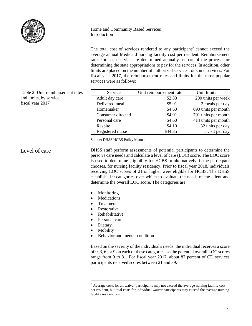

The total cost of services rendered to any participant<sup>[2](#page-7-0)</sup> cannot exceed the average annual Medicaid nursing facility cost per resident. Reimbursement rates for each service are determined annually as part of the process for determining the state appropriations to pay for the services. In addition, other limits are placed on the number of authorized services for some services. For fiscal year 2017, the reimbursement rates and limits for the most popular services were as follows:

| Table 2: Unit reimbursement rates | Service           | Unit reimbursement rate | Unit limits         |
|-----------------------------------|-------------------|-------------------------|---------------------|
| and limits, by service,           | Adult day care    | \$2.33                  | 200 units per week  |
| fiscal year 2017                  | Delivered meal    | \$5.91                  | 2 meals per day     |
|                                   | Homemaker         | \$4.60                  | 690 units per month |
|                                   | Consumer directed | \$4.01                  | 791 units per month |
|                                   | Personal care     | \$4.60                  | 414 units per month |
|                                   | Respite           | \$4.10                  | 32 units per day    |
|                                   | Registered nurse  | \$44.35                 | 1 visit per day     |
|                                   |                   |                         |                     |

Source: DHSS HCBS Policy Manual

DHSS staff perform assessments of potential participants to determine the person's care needs and calculate a level of care (LOC) score. The LOC score is used to determine eligibility for HCBS or alternatively, if the participant chooses, for nursing facility residency. Prior to fiscal year 2018, individuals receiving LOC scores of 21 or higher were eligible for HCBS. The DHSS established 9 categories over which to evaluate the needs of the client and determine the overall LOC score. The categories are: Level of care

- Monitoring
- Medications
- Treatments
- Restorative
- Rehabilitative
- Personal care
- Dietary
- Mobility
- Behavior and mental condition

Based on the severity of the individual's needs, the individual receives a score of 0, 3, 6, or 9 on each of these categories, so the potential overall LOC scores range from 0 to 81. For fiscal year 2017, about 87 percent of CD services participants received scores between 21 and 39.

<span id="page-7-0"></span> $2$  Average costs for all waiver participants may not exceed the average nursing facility cost per resident, but total costs for individual waiver participants may exceed the average nursing facility resident cost.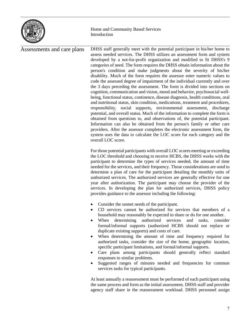

DHSS staff generally meet with the potential participant in his/her home to assess needed services. The DHSS utilizes an assessment form and system developed by a not-for-profit organization and modified to fit DHSS's 9 categories of need. The form requires the DHSS obtain information about the person's condition and make judgments about the severity of his/her disability. Much of the form requires the assessor enter numeric values to code the assessed degree of impairment of the individual currently and over the 3 days preceding the assessment. The form is divided into sections on cognition, communication and vision, mood and behavior, psychosocial wellbeing, functional status, continence, disease diagnosis, health conditions, oral and nutritional status, skin condition, medications, treatment and procedures, responsibility, social supports, environmental assessment, discharge potential, and overall status. Much of the information to complete the form is obtained from questions to, and observations of, the potential participant. Information can also be obtained from the person's family or other care providers. After the assessor completes the electronic assessment form, the system uses the data to calculate the LOC score for each category and the overall LOC score. For those potential participants with overall LOC scores meeting or exceeding Assessments and care plans

the LOC threshold and choosing to receive HCBS, the DHSS works with the participant to determine the types of services needed, the amount of time needed for the services, and their frequency. Those considerations are used to determine a plan of care for the participant detailing the monthly units of authorized services. The authorized services are generally effective for one year after authorization. The participant may choose the provider of the services. In developing the plan for authorized services, DHSS policy provides guidance to the assessor including the following:

- Consider the unmet needs of the participant.
- CD services cannot be authorized for services that members of a household may reasonably be expected to share or do for one another.
- When determining authorized services and tasks, consider formal/informal supports (authorized HCBS should not replace or duplicate existing supports) and costs of care.
- When determining the amount of time and frequency required for authorized tasks, consider the size of the home, geographic location, specific participant limitations, and formal/informal supports.
- Care plans among participants should generally reflect standard responses to similar problems.
- Suggested ranges of minutes needed and frequencies for common services tasks for typical participants.

At least annually a reassessment must be performed of each participant using the same process and form as the initial assessment. DHSS staff and provider agency staff share in the reassessment workload. DHSS personnel assign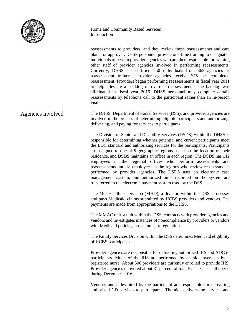

reassessments to providers, and they review these reassessments and care plans for approval. DHSS personnel provide one-time training to designated individuals of certain provider agencies who are then responsible for training other staff of provider agencies involved in performing reassessments. Currently, DHSS has certified 550 individuals from 363 agencies as reassessment trainers. Provider agencies receive \$75 per completed reassessment. Providers began performing reassessments in fiscal year 2011 to help alleviate a backlog of overdue reassessments. The backlog was eliminated in fiscal year 2016. DHSS personnel may complete certain reassessments by telephone call to the participant rather than an in-person visit. The DHSS, Department of Social Services (DSS), and provider agencies are involved in the process of determining eligible participants and authorizing, delivering, and paying for services to participants. The Division of Senior and Disability Services (DSDS) within the DHSS is responsible for determining whether potential and current participants meet the LOC standard and authorizing services for the participants. Participants are assigned to one of 5 geographic regions based on the location of their residence, and DSDS maintains an office in each region. The DSDS has 112 employees in the regional offices who perform assessments and reassessments and 18 employees in the regions who review reassessments performed by provider agencies. The DSDS uses an electronic case management system, and authorized units recorded on the system are transferred to the electronic payment system used by the DSS. The MO Healthnet Division (MHD), a division within the DSS, processes and pays Medicaid claims submitted by HCBS providers and vendors. The payments are made from appropriations to the DHSS. The MMAC unit, a unit within the DSS, contracts with provider agencies and vendors and investigates instances of noncompliance by providers or vendors with Medicaid policies, procedures, or regulations. The Family Services Division within the DSS determines Medicaid eligibility of HCBS participants. Provider agencies are responsible for delivering authorized IHS and ADC to participants. Much of the IHS are performed by an aide overseen by a registered nurse. About 500 providers are currently enrolled to provide IHS. Provider agencies delivered about 81 percent of total PC services authorized during December 2016. Vendors and aides hired by the participant are responsible for delivering authorized CD services to participants. The aide delivers the services and Agencies involved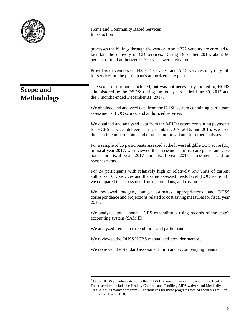|                                        | Home and Community Based Services<br>Introduction                                                                                                                                                                                                     |
|----------------------------------------|-------------------------------------------------------------------------------------------------------------------------------------------------------------------------------------------------------------------------------------------------------|
|                                        | processes the billings through the vendor. About 722 vendors are enrolled to<br>facilitate the delivery of CD services. During December 2016, about 90<br>percent of total authorized CD services were delivered.                                     |
|                                        | Providers or vendors of IHS, CD services, and ADC services may only bill<br>for services on the participant's authorized care plan.                                                                                                                   |
| <b>Scope and</b><br><b>Methodology</b> | The scope of our audit included, but was not necessarily limited to, HCBS<br>administered by the DSDS <sup>3</sup> during the four years ended June 30, 2017 and<br>the 6 months ended December 31, 2017.                                             |
|                                        | We obtained and analyzed data from the DHSS system containing participant<br>assessments, LOC scores, and authorized services.                                                                                                                        |
|                                        | We obtained and analyzed data from the MHD system containing payments<br>for HCBS services delivered in December 2017, 2016, and 2015. We used<br>the data to compare units paid to units authorized and for other analyses.                          |
|                                        | For a sample of 25 participants assessed at the lowest eligible LOC score (21)<br>in fiscal year 2017, we reviewed the assessment forms, care plans, and case<br>notes for fiscal year 2017 and fiscal year 2018 assessments and or<br>reassessments. |
|                                        | For 24 participants with relatively high or relatively low units of current<br>authorized CD services and the same assessed needs level (LOC score 30),<br>we compared the assessment forms, care plans, and case notes.                              |
|                                        | We reviewed budgets, budget estimates, appropriations, and DHSS<br>correspondence and projections related to cost saving measures for fiscal year<br>2018.                                                                                            |
|                                        | We analyzed total annual HCBS expenditures using records of the state's<br>accounting system (SAM II).                                                                                                                                                |
|                                        | We analyzed trends in expenditures and participants.                                                                                                                                                                                                  |
|                                        | We reviewed the DHSS HCBS manual and provider memos.                                                                                                                                                                                                  |
|                                        | We reviewed the standard assessment form and accompanying manual.                                                                                                                                                                                     |
|                                        |                                                                                                                                                                                                                                                       |

<span id="page-10-0"></span> $3$  Other HCBS are administered by the DHSS Division of Community and Public Health. Those services include the Healthy Children and Families, AIDS waiver, and Medically Fragile Adults Waiver programs. Expenditures for those programs totaled about \$80 million during fiscal year 2018.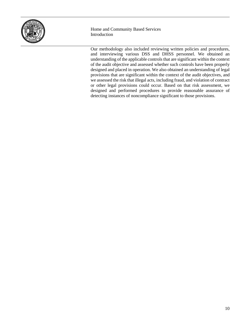

Our methodology also included reviewing written policies and procedures, and interviewing various DSS and DHSS personnel. We obtained an understanding of the applicable controls that are significant within the context of the audit objective and assessed whether such controls have been properly designed and placed in operation. We also obtained an understanding of legal provisions that are significant within the context of the audit objectives, and we assessed the risk that illegal acts, including fraud, and violation of contract or other legal provisions could occur. Based on that risk assessment, we designed and performed procedures to provide reasonable assurance of detecting instances of noncompliance significant to those provisions.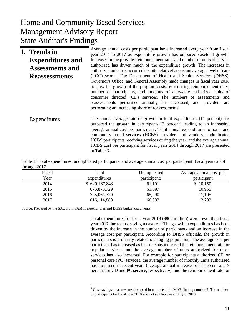## $U_{\rm{D}}$  and  $U_{\rm{D}}$ Management Advisory Report Home and Community Based Services State Auditor's Findings

| 1. Trends in            | Average annual costs per participant have increased every year from fiscal<br>year 2014 to 2017 as expenditure growth has outpaced caseload growth.                                                                                                                                                                                                                                                                                                                                            |
|-------------------------|------------------------------------------------------------------------------------------------------------------------------------------------------------------------------------------------------------------------------------------------------------------------------------------------------------------------------------------------------------------------------------------------------------------------------------------------------------------------------------------------|
| <b>Expenditures and</b> | Increases in the provider reimbursement rates and number of units of service<br>authorized has driven much of the expenditure growth. The increases in                                                                                                                                                                                                                                                                                                                                         |
| <b>Assessments and</b>  | authorized units has occurred despite relatively constant average level of care                                                                                                                                                                                                                                                                                                                                                                                                                |
| <b>Reassessments</b>    | (LOC) scores. The Department of Health and Senior Services (DHSS),<br>Governor's Office, and General Assembly made changes in fiscal year 2018<br>to slow the growth of the program costs by reducing reimbursement rates,<br>number of participants, and amounts of allowable authorized units of<br>consumer directed (CD) services. The numbers of assessments and<br>reassessments performed annually has increased, and providers are<br>performing an increasing share of reassessments. |
| Expenditures            | The annual average rate of growth in total expenditures (11 percent) has<br>outpaced the growth in participants (3 percent) leading to an increasing<br>average annual cost per participant. Total annual expenditures to home and<br>community based services (HCBS) providers and vendors, unduplicated<br>HCBS participants receiving services during the year, and the average annual<br>HCBS cost per participant for fiscal years 2014 through 2017 are presented<br>in Table 3.         |

Table 3: Total expenditures, unduplicated participants, and average annual cost per participant, fiscal years 2014 through 2017

| Fiscal | Total         | Unduplicated | Average annual cost per |
|--------|---------------|--------------|-------------------------|
| Year   | expenditures  | participants | participant             |
| 2014   | \$620,167,843 | 61,101       | \$10,150                |
| 2015   | 675,873,729   | 61,697       | 10,955                  |
| 2016   | 725,061,720   | 65,290       | 11,105                  |
| 2017   | 816,114,889   | 66,332       | 12,203                  |

<span id="page-12-0"></span>Source: Prepared by the SAO from SAM II expenditures and DHSS budget documents

Total expenditures for fiscal year 2018 (\$805 million) were lower than fiscal year 2017 due to cost saving measures.<sup>[4](#page-12-0)</sup> The growth in expenditures has been driven by the increase in the number of participants and an increase in the average cost per participant. According to DHSS officials, the growth in participants is primarily related to an aging population. The average cost per participant has increased as the state has increased the reimbursement rate for popular services, and the average number of units authorized for those services has also increased. For example for participants authorized CD or personal care (PC) services, the average number of monthly units authorized has increased in recent years (average annual increases of 6 percent and 9 percent for CD and PC service, respectively), and the reimbursement rate for

<sup>&</sup>lt;sup>4</sup> Cost savings measures are discussed in more detail in MAR finding number 2. The number of participants for fiscal year 2018 was not available as of July 3, 2018.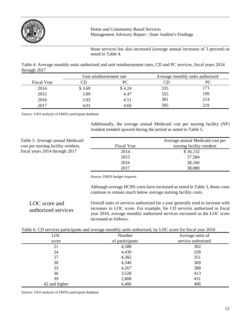

those services has also increased (average annual increases of 3 percent) as noted in Table 4.

Table 4: Average monthly units authorized and unit reimbursement rates, CD and PC services, fiscal years 2014 through 2017

|             |        | Unit reimbursement rate |     | Average monthly units authorized |
|-------------|--------|-------------------------|-----|----------------------------------|
| Fiscal Year |        |                         |     |                                  |
| 2014        | \$3.69 | \$4.24                  | 335 |                                  |
| 2015        | 3.89   | 4.47                    | 355 | 199                              |
| 2016        | 3.93   | 4.51                    | 381 | 214                              |
| 2017        | 4.01   | 4.60                    | 395 | 219                              |

Source: SAO analysis of DHSS participant database

Additionally, the average annual Medicaid cost per nursing facility (NF) resident trended upward during the period as noted in Table 5.

Table 5: Average annual Medicaid cost per nursing facility resident, fiscal years 2014 through 2017

|             | Average annual Medicaid cost per |  |
|-------------|----------------------------------|--|
| Fiscal Year | nursing facility resident        |  |
| 2014        | \$36,132                         |  |
| 2015        | 37,584                           |  |
| 2016        | 38,160                           |  |
| 2017        | 38,088                           |  |

Source: DHSS budget requests

Although average HCBS costs have increased as noted in Table 3, those costs continue to remain much below average nursing facility costs.

Overall units of services authorized for a year generally tend to increase with increases in LOC score. For example, for CD services authorized in fiscal year 2016, average monthly authorized services increased as the LOC score increased as follows: LOC score and authorized services

| Table 6: CD services participants and average monthly units authorized, by LOC score for fiscal year 2016 |  |
|-----------------------------------------------------------------------------------------------------------|--|
|-----------------------------------------------------------------------------------------------------------|--|

|               | ້<br>. .        |                    |
|---------------|-----------------|--------------------|
| LOC           | Number          | Average units of   |
| score         | of participants | service authorized |
| 21            | 4,588           | 302                |
| 24            | 4,430           | 328                |
| 27            | 4,382           | 351                |
| 30            | 4,346           | 369                |
| 33            | 4,267           | 388                |
| 36            | 3,528           | 413                |
| 39            | 2,808           | 431                |
| 42 and higher | 4,406           | 496                |

Source: SAO analysis of DHSS participant database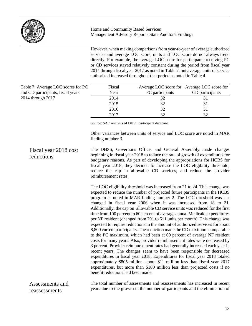

However, when making comparisons from year-to-year of average authorized services and average LOC score, units and LOC score do not always trend directly. For example, the average LOC score for participants receiving PC or CD services stayed relatively constant during the period from fiscal year 2014 through fiscal year 2017 as noted in Table 7, but average units of service authorized increased throughout that period as noted in Table 4.

| Table 7: Average LOC scores for PC |
|------------------------------------|
| and CD participants, fiscal years  |
| 2014 through 2017                  |

| Fiscal |                 | Average LOC score for Average LOC score for |
|--------|-----------------|---------------------------------------------|
| Year   | PC participants | CD participants                             |
| 2014   | 32              |                                             |
| 2015   | 32              | 31                                          |
| 2016   | 32              | 31                                          |
| 2017   | 32              | $32^{\circ}$                                |

Source: SAO analysis of DHSS participant database

Other variances between units of service and LOC score are noted in MAR finding number 3.

#### The DHSS, Governor's Office, and General Assembly made changes beginning in fiscal year 2018 to reduce the rate of growth of expenditures for budgetary reasons. As part of developing the appropriations for HCBS for fiscal year 2018, they decided to increase the LOC eligibility threshold, reduce the cap in allowable CD services, and reduce the provider reimbursement rates. Fiscal year 2018 cost reductions

The LOC eligibility threshold was increased from 21 to 24. This change was expected to reduce the number of projected future participants in the HCBS program as noted in MAR finding number 2. The LOC threshold was last changed in fiscal year 2006 when it was increased from 18 to 21. Additionally, the cap on allowable CD service units was reduced for the first time from 100 percent to 60 percent of average annual Medicaid expenditures per NF resident (changed from 791 to 511 units per month). This change was expected to require reductions in the amount of authorized services for about 8,800 current participants. The reduction made the CD maximum comparable to the PC maximum, which had been at 60 percent of average NF resident costs for many years. Also, provider reimbursement rates were decreased by 3 percent. Provider reimbursement rates had generally increased each year in recent years. The changes seem to have been responsible for decreased expenditures in fiscal year 2018. Expenditures for fiscal year 2018 totaled approximately \$805 million, about \$11 million less than fiscal year 2017 expenditures, but more than \$100 million less than projected costs if no benefit reductions had been made.

The total number of assessments and reassessments has increased in recent years due to the growth in the number of participants and the elimination of Assessments and reassessments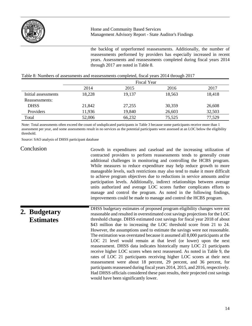

the backlog of unperformed reassessments. Additionally, the number of reassessments performed by providers has especially increased in recent years. Assessments and reassessments completed during fiscal years 2014 through 2017 are noted in Table 8.

|                     | <b>Fiscal Year</b> |        |        |        |
|---------------------|--------------------|--------|--------|--------|
|                     | 2014               | 2015   | 2016   | 2017   |
| Initial assessments | 18,228             | 19,137 | 18,563 | 18,418 |
| Reassessments:      |                    |        |        |        |
| <b>DHSS</b>         | 21,842             | 27,255 | 30,359 | 26,608 |
| Providers           | 11,936             | 19,840 | 26,603 | 32,503 |
| Total               | 52,006             | 66,232 | 75,525 | 77,529 |

#### Table 8: Numbers of assessments and reassessments completed, fiscal years 2014 through 2017

Note: Total assessments often exceed the count of unduplicated participants in Table 3 because some participants receive more than 1 assessment per year, and some assessments result in no services as the potential participants were assessed at an LOC below the eligibility threshold.

Source: SAO analysis of DHSS participant database

#### Conclusion

Growth in expenditures and caseload and the increasing utilization of contracted providers to perform reassessments tends to generally create additional challenges in monitoring and controlling the HCBS program. While measures to reduce expenditure may help reduce growth to more manageable levels, such restrictions may also tend to make it more difficult to achieve program objectives due to reductions in service amounts and/or participation levels. Additionally, indirect relationships between average units authorized and average LOC scores further complicates efforts to manage and control the program. As noted in the following findings, improvements could be made to manage and control the HCBS program.

## **2. Budgetary Estimates**

DHSS budgetary estimates of proposed program eligibility changes were not reasonable and resulted in overestimated cost savings projections for the LOC threshold change. DHSS estimated cost savings for fiscal year 2018 of about \$43 million due to increasing the LOC threshold score from 21 to 24. However, the assumptions used to estimate the savings were not reasonable. The estimation was overstated because it assumed all 8,000 participants at the LOC 21 level would remain at that level (or lower) upon the next reassessment. DHSS data indicates historically many LOC 21 participants receive higher LOC scores when next reassessed. As noted in Table 9, the rates of LOC 21 participants receiving higher LOC scores at their next reassessment were about 18 percent, 29 percent, and 36 percent, for participants reassessed during fiscal years 2014, 2015, and 2016, respectively. Had DHSS officials considered these past results, their projected cost savings would have been significantly lower.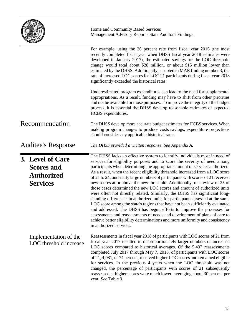

|                                                                               | For example, using the 36 percent rate from fiscal year 2016 (the most<br>recently completed fiscal year when DHSS fiscal year 2018 estimates were<br>developed in January 2017), the estimated savings for the LOC threshold<br>change would total about \$28 million, or about \$15 million lower than<br>estimated by the DHSS. Additionally, as noted in MAR finding number 3, the<br>rate of increased LOC scores for LOC 21 participants during fiscal year 2018<br>significantly exceeded the historical rates.                                                                                                                                                                                                                                                                                                                                                                                                                                                                                                                                                                      |
|-------------------------------------------------------------------------------|---------------------------------------------------------------------------------------------------------------------------------------------------------------------------------------------------------------------------------------------------------------------------------------------------------------------------------------------------------------------------------------------------------------------------------------------------------------------------------------------------------------------------------------------------------------------------------------------------------------------------------------------------------------------------------------------------------------------------------------------------------------------------------------------------------------------------------------------------------------------------------------------------------------------------------------------------------------------------------------------------------------------------------------------------------------------------------------------|
|                                                                               | Underestimated program expenditures can lead to the need for supplemental<br>appropriations. As a result, funding may have to shift from other priorities<br>and not be available for those purposes. To improve the integrity of the budget<br>process, it is essential the DHSS develop reasonable estimates of expected<br>HCBS expenditures.                                                                                                                                                                                                                                                                                                                                                                                                                                                                                                                                                                                                                                                                                                                                            |
| Recommendation                                                                | The DHSS develop more accurate budget estimates for HCBS services. When<br>making program changes to produce costs savings, expenditure projections<br>should consider any applicable historical rates.                                                                                                                                                                                                                                                                                                                                                                                                                                                                                                                                                                                                                                                                                                                                                                                                                                                                                     |
| <b>Auditee's Response</b>                                                     | The DHSS provided a written response. See Appendix A.                                                                                                                                                                                                                                                                                                                                                                                                                                                                                                                                                                                                                                                                                                                                                                                                                                                                                                                                                                                                                                       |
| 3. Level of Care<br><b>Scores and</b><br><b>Authorized</b><br><b>Services</b> | The DHSS lacks an effective system to identify individuals most in need of<br>services for eligibility purposes and to score the severity of need among<br>participants when determining the appropriate amount of services authorized.<br>As a result, when the recent eligibility threshold increased from a LOC score<br>of 21 to 24, unusually large numbers of participants with scores of 21 received<br>new scores at or above the new threshold. Additionally, our review of 25 of<br>those cases determined the new LOC scores and amount of authorized units<br>were often not directly related. Similarly, the DHSS has significant long-<br>standing differences in authorized units for participants assessed at the same<br>LOC score among the state's regions that have not been sufficiently evaluated<br>and addressed. The DHSS has begun efforts to improve the processes for<br>assessments and reassessments of needs and development of plans of care to<br>achieve better eligibility determinations and more uniformity and consistency<br>in authorized services. |
| Implementation of the<br>LOC threshold increase                               | Reassessments in fiscal year 2018 of participants with LOC scores of 21 from<br>fiscal year 2017 resulted in disproportionately larger numbers of increased<br>LOC scores compared to historical averages. Of the 5,497 reassessments<br>completed July 2017 through May 7, 2018, of participants with LOC scores<br>of 21, 4,081, or 74 percent, received higher LOC scores and remained eligible<br>for services. In the previous 4 years when the LOC threshold was not<br>changed, the percentage of participants with scores of 21 subsequently<br>reassessed at higher scores were much lower, averaging about 30 percent per<br>year. See Table 9.                                                                                                                                                                                                                                                                                                                                                                                                                                   |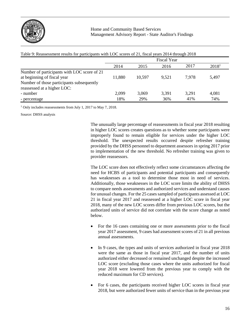

| Table 9: Reassessment results for participants with LOC scores of 21, fiscal years 2014 through 2018 |                    |        |       |       |                   |
|------------------------------------------------------------------------------------------------------|--------------------|--------|-------|-------|-------------------|
|                                                                                                      | <b>Fiscal Year</b> |        |       |       |                   |
|                                                                                                      | 2014               | 2015   | 2016  | 2017  | 2018 <sup>1</sup> |
| Number of participants with LOC score of 21                                                          |                    |        |       |       |                   |
| at beginning of fiscal year                                                                          | 11,880             | 10,597 | 9.521 | 7.978 | 5,497             |
| Number of those participants subsequently<br>reassessed at a higher LOC:                             |                    |        |       |       |                   |
| - number                                                                                             | 2,099              | 3,069  | 3,391 | 3,291 | 4,081             |
| - percentage                                                                                         | 18%                | 29%    | 36%   | 41%   | 74%               |

<sup>1</sup> Only includes reassessments from July 1, 2017 to May 7, 2018.

Source: DHSS analysis

The unusually large percentage of reassessments in fiscal year 2018 resulting in higher LOC scores creates questions as to whether some participants were improperly found to remain eligible for services under the higher LOC threshold. The unexpected results occurred despite refresher training provided by the DHSS personnel to department assessors in spring 2017 prior to implementation of the new threshold. No refresher training was given to provider reassessors.

The LOC score does not effectively reflect some circumstances affecting the need for HCBS of participants and potential participants and consequently has weaknesses as a tool to determine those most in need of services. Additionally, those weaknesses in the LOC score limits the ability of DHSS to compare needs assessments and authorized services and understand causes for unusual changes. For the 25 cases sampled of participants assessed at LOC 21 in fiscal year 2017 and reassessed at a higher LOC score in fiscal year 2018, many of the new LOC scores differ from previous LOC scores, but the authorized units of service did not correlate with the score change as noted below.

- For the 16 cases containing one or more assessments prior to the fiscal year 2017 assessment, 9 cases had assessment scores of 21 in all previous annual assessments.
- In 9 cases, the types and units of services authorized in fiscal year 2018 were the same as those in fiscal year 2017, and the number of units authorized either decreased or remained unchanged despite the increased LOC score (excluding those cases where the units authorized for fiscal year 2018 were lowered from the previous year to comply with the reduced maximum for CD services).
- For 6 cases, the participants received higher LOC scores in fiscal year 2018, but were authorized fewer units of service than in the previous year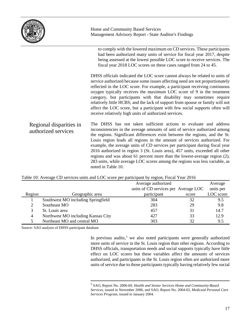|                                                | Home and Community Based Services<br>Management Advisory Report - State Auditor's Findings                                                                                                                                                                                                                                                                                                                                                                                                                                                                                                                                                                  |  |  |
|------------------------------------------------|-------------------------------------------------------------------------------------------------------------------------------------------------------------------------------------------------------------------------------------------------------------------------------------------------------------------------------------------------------------------------------------------------------------------------------------------------------------------------------------------------------------------------------------------------------------------------------------------------------------------------------------------------------------|--|--|
|                                                | to comply with the lowered maximum on CD services. These participants<br>had been authorized many units of service for fiscal year 2017, despite<br>being assessed at the lowest possible LOC score to receive services. The<br>fiscal year 2018 LOC scores on these cases ranged from 24 to 45.                                                                                                                                                                                                                                                                                                                                                            |  |  |
|                                                | DHSS officials indicated the LOC score cannot always be related to units of<br>service authorized because some issues affecting need are not proportionately<br>reflected in the LOC score. For example, a participant receiving continuous<br>oxygen typically receives the maximum LOC score of 9 in the treatment<br>category, but participants with that disability may sometimes require<br>relatively little HCBS; and the lack of support from spouse or family will not<br>affect the LOC score, but a participant with few social supports often will<br>receive relatively high units of authorized services.                                     |  |  |
| Regional disparities in<br>authorized services | The DHSS has not taken sufficient actions to evaluate and address<br>inconsistencies in the average amounts of unit of service authorized among<br>the regions. Significant differences exist between the regions, and the St.<br>Louis region leads all regions in the amount of services authorized. For<br>example, the average units of CD services per participant during fiscal year<br>2016 authorized in region 3 (St. Louis area), 457 units, exceeded all other<br>regions and was about 61 percent more than the lowest-average region (2),<br>283 units, while average LOC scores among the regions was less variable, as<br>noted in Table 10. |  |  |

|        |                                    | Average authorized                   |       | Average   |
|--------|------------------------------------|--------------------------------------|-------|-----------|
|        |                                    | units of CD services per Average LOC |       | units per |
| Region | Geographic area                    | participant                          | score | LOC score |
|        | Southwest MO including Springfield | 304                                  | 32    | 9.5       |
|        | Southeast MO                       | 283                                  | 29    | 9.8       |
|        | St. Louis area                     | 457                                  | 31    | 14.7      |
| 4      | Northwest MO including Kansas City | 427                                  | 33    | 12.9      |
|        | Northeast MO and central MO        | 303                                  | 32    | 9.5       |

#### Table 10: Average CD services units and LOC score per participant by region, Fiscal Year 2016

<span id="page-18-0"></span>Source: SAO analysis of DHSS participant database

In previous audits,<sup>[5](#page-18-0)</sup> we also noted participants were generally authorized more units of service in the St. Louis region than other regions. According to DHSS officials, transportation needs and social supports typically have little effect on LOC scores but these variables affect the amounts of services authorized, and participants in the St. Louis region often are authorized more units of service due to those participants typically having relatively few social

 <sup>5</sup> SAO, Report No. 2006-69, *Health and Senior Services Home and Community-Based Services*, issued in November 2006, and SAO, Report No. 2004-02, *Medicaid Personal Care Services Program*, issued in January 2004.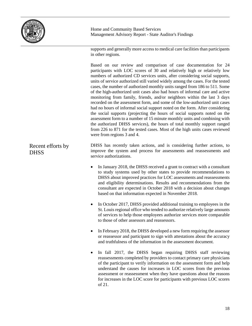

supports and generally more access to medical care facilities than participants in other regions.

Based on our review and comparison of case documentation for 24 participants with LOC scores of 30 and relatively high or relatively low numbers of authorized CD services units, after considering social supports, units of service authorized still varied widely among the cases. For the tested cases, the number of authorized monthly units ranged from 186 to 511. Some of the high-authorized unit cases also had hours of informal care and active monitoring from family, friends, and/or neighbors within the last 3 days recorded on the assessment form, and some of the low-authorized unit cases had no hours of informal social support noted on the form. After considering the social supports (projecting the hours of social supports noted on the assessment form to a number of 15 minute monthly units and combining with the authorized DHSS services), the hours of total monthly support ranged from 226 to 871 for the tested cases. Most of the high units cases reviewed were from regions 3 and 4.

DHSS has recently taken actions, and is considering further actions, to improve the system and process for assessments and reassessments and service authorizations. Recent efforts by **DHSS** 

- In January 2018, the DHSS received a grant to contract with a consultant to study systems used by other states to provide recommendations to DHSS about improved practices for LOC assessments and reassessments and eligibility determinations. Results and recommendations from the consultant are expected in October 2018 with a decision about changes based on that information expected in November 2018.
- In October 2017, DHSS provided additional training to employees in the St. Louis regional office who tended to authorize relatively large amounts of services to help those employees authorize services more comparable to those of other assessors and reassessors.
- In February 2018, the DHSS developed a new form requiring the assessor or reassessor and participant to sign with attestations about the accuracy and truthfulness of the information in the assessment document.
- In fall 2017, the DHSS began requiring DHSS staff reviewing reassessments completed by providers to contact primary care physicians of the participant to verify information on the assessment form and help understand the causes for increases in LOC scores from the previous assessment or reassessment when they have questions about the reasons for increases in the LOC score for participants with previous LOC scores of 21.

18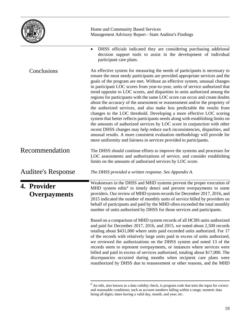|                             | Home and Community Based Services<br>Management Advisory Report - State Auditor's Findings                                                                                                                                                                                                                                                                                                                                                                                                                                                                                                                                                                                                                                                                                                                                                                                                                                                                                                                                                                                                                                        |
|-----------------------------|-----------------------------------------------------------------------------------------------------------------------------------------------------------------------------------------------------------------------------------------------------------------------------------------------------------------------------------------------------------------------------------------------------------------------------------------------------------------------------------------------------------------------------------------------------------------------------------------------------------------------------------------------------------------------------------------------------------------------------------------------------------------------------------------------------------------------------------------------------------------------------------------------------------------------------------------------------------------------------------------------------------------------------------------------------------------------------------------------------------------------------------|
|                             | DHSS officials indicated they are considering purchasing additional<br>$\bullet$<br>decision support tools to assist in the development of individual<br>participant care plans.                                                                                                                                                                                                                                                                                                                                                                                                                                                                                                                                                                                                                                                                                                                                                                                                                                                                                                                                                  |
| Conclusions                 | An effective system for measuring the needs of participants is necessary to<br>ensure the most needy participants are provided appropriate services and the<br>goals of the program are met. Without an effective system, unusual changes<br>in participant LOC scores from year-to-year, units of service authorized that<br>trend opposite to LOC scores, and disparities in units authorized among the<br>regions for participants with the same LOC score can occur and create doubts<br>about the accuracy of the assessment or reassessment and/or the propriety of<br>the authorized services, and also make less predictable the results from<br>changes to the LOC threshold. Developing a more effective LOC scoring<br>system that better reflects participants needs along with establishing limits on<br>the amounts of authorized services by LOC score in conjunction with other<br>recent DHSS changes may help reduce such inconsistencies, disparities, and<br>unusual results. A more consistent evaluation methodology will provide for<br>more uniformity and fairness in services provided to participants. |
| Recommendation              | The DHSS should continue efforts to improve the systems and processes for<br>LOC assessments and authorizations of service, and consider establishing<br>limits on the amounts of authorized services by LOC score.                                                                                                                                                                                                                                                                                                                                                                                                                                                                                                                                                                                                                                                                                                                                                                                                                                                                                                               |
| <b>Auditee's Response</b>   | The DHSS provided a written response. See Appendix A.                                                                                                                                                                                                                                                                                                                                                                                                                                                                                                                                                                                                                                                                                                                                                                                                                                                                                                                                                                                                                                                                             |
| 4. Provider<br>Overpayments | Weaknesses in the DHSS and MHD systems prevent the proper execution of<br>MHD system edits <sup>6</sup> to timely detect and prevent overpayments to some<br>providers. Our review of MHD system records for December 2017, 2016, and<br>2015 indicated the number of monthly units of service billed by providers on<br>behalf of participants and paid by the MHD often exceeded the total monthly<br>number of units authorized by DHSS for those services and participants.                                                                                                                                                                                                                                                                                                                                                                                                                                                                                                                                                                                                                                                   |
|                             | Based on a comparison of MHD system records of all HCBS units authorized<br>and paid for December 2017, 2016, and 2015, we noted about 2,500 records<br>totaling about \$431,000 where units paid exceeded units authorized. For 17<br>of the records with relatively large units paid in excess of units authorized,<br>we reviewed the authorizations on the DHSS system and noted 13 of the<br>records seem to represent overpayments, or instances where services were<br>billed and paid in excess of services authorized, totaling about \$17,000. The<br>discrepancies occurred during months when recipient care plans were<br>reauthorized by DHSS due to reassessment or other reasons, and the MHD                                                                                                                                                                                                                                                                                                                                                                                                                     |

<span id="page-20-0"></span> $6$  An edit, also known as a data validity check, is program code that tests the input for correct and reasonable conditions; such as account numbers falling within a range; numeric data being all digits; dates having a valid day, month, and year; etc.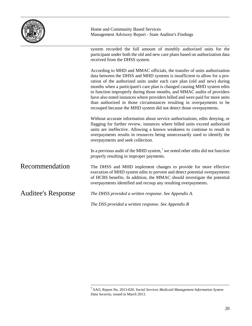

system recorded the full amount of monthly authorized units for the participant under both the old and new care plans based on authorization data received from the DHSS system. According to MHD and MMAC officials, the transfer of units authorization data between the DHSS and MHD systems is insufficient to allow for a proration of the authorized units under each care plan (old and new) during months when a participant's care plan is changed causing MHD system edits to function improperly during those months, and MMAC audits of providers have also noted instances where providers billed and were paid for more units than authorized in those circumstances resulting in overpayments to be recouped because the MHD system did not detect those overpayments. Without accurate information about service authorizations, edits denying, or flagging for further review, instances where billed units exceed authorized units are ineffective. Allowing a known weakness to continue to result in overpayments results in resources being unnecessarily used to identify the overpayments and seek collection. In a previous audit of the MHD system, [7](#page-21-0) we noted other edits did not function properly resulting in improper payments. The DHSS and MHD implement changes to provide for more effective execution of MHD system edits to prevent and detect potential overpayments of HCBS benefits. In addition, the MMAC should investigate the potential overpayments identified and recoup any resulting overpayments. *The DHSS provided a written response. See Appendix A. The DSS provided a written response. See Appendix B* Recommendation Auditee's Response

<span id="page-21-0"></span> <sup>7</sup> SAO, Report No. 2013-020, S*ocial Services Medicaid Management Information System Data Security*, issued in March 2013.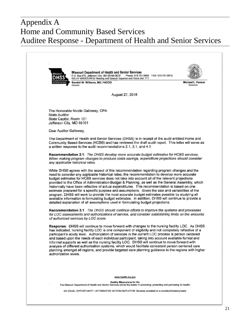#### $\mathbf{F}$  Rosad Sarvices Home and Community Based Services Appendix A Auditee Response - Department of Health and Senior Services

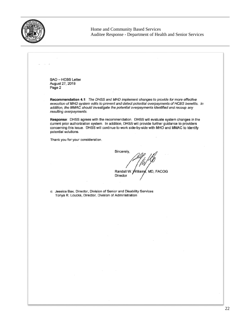

Home and Community Based Services Auditee Response - Department of Health and Senior Services

SAO - HCBS Letter August 27, 2018 Page 2 Recommendation 4.1: The DHSS and MHD implement changes to provide for more effective execution of MHD system edits to prevent and detect potential overpayments of HCBS benefits. In addition, the MMAC should investigate the potential overpayments identified and recoup any resulting overpayments. Response: DHSS agrees with the recommendation. DHSS will evaluate system changes in the current prior authorization system. In addition, DHSS will provide further guidance to providers concerning this issue. DHSS will continue to work side-by-side with MHD and MMAC to identify potential solutions. Thank you for your consideration. Sincerely, Randall W. Williams, MD, FACOG **Director** c: Jessica Bax, Director, Division of Senior and Disability Services Tonya R. Loucks, Director, Division of Administration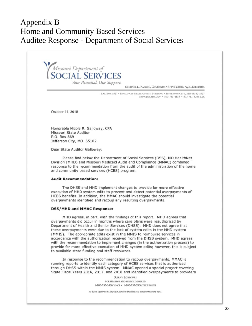### $\sigma$  Rosad Sarvices Home and Community Based Services Appendix B Auditee Response - Department of Social Services

Missouri Department of<br>**SOCIAL SERVICES** Your Potential, Our Support.

MICHAEL L. PARSON, GOVERNOR . STEVE CORSI, Psy.D., DIRECTOR

P.O. BOX 1527 . BROADWAY STATE OFFICE BUILDING . JEFFERSON CITY, MO 65102-1527 WWW.DSS.MO.GOV · 573-751-4815 · 573-751-3203 FAX

October 11, 2018

Honorable Nicole R. Galloway, CPA Missouri State Auditor P.O. Box 869 Jefferson City, MO 65102

Dear State Auditor Galloway:

Please find below the Department of Social Services (DSS), MO HealthNet Division (MHD) and Missouri Medicaid Audit and Compliance (MMAC) combined response to the recommendation from the audit of the administration of the home and community based services (HCBS) program.

#### **Audit Recommendation:**

The DHSS and MHD implement changes to provide for more effective execution of MHD system edits to prevent and detect potential overpayments of HCBS benefits. In addition, the MMAC should investigate the potential overpayments identified and recoup any resulting overpayments.

#### **DSS/MHD and MMAC Response:**

MHD agrees, in part, with the findings of this report. MHD agrees that overpayments did occur in months where care plans were reauthorized by Department of Health and Senior Services (DHSS). MHD does not agree that these overpayments were due to the lack of system edits in the MHD system (MMIS). The appropriate edits exist in the MMIS to reimburse services in accordance with the authorization received from the DHSS system. MHD agrees with the recommendation to implement changes (in the authorization process) to provide for more effective execution of MHD system edits; however, this is subject to available state funding and staff resources.

In response to the recommendation to recoup overpayments, MMAC is running reports to identify each category of HCBS services that is authorized through DHSS within the MMIS system. MMAC opened a special project covering State Fiscal Years 2016, 2017, and 2018 and identified overpayments to providers

> **RELAY MISSOURI** FOR HEARING AND SPEECH IMPAIRED 1-800-735-2466 VOICE . 1-800-735-2966 TEXT PHONE

An Equal Opportunity Employer, services provided on a nondiscriminatory basis.